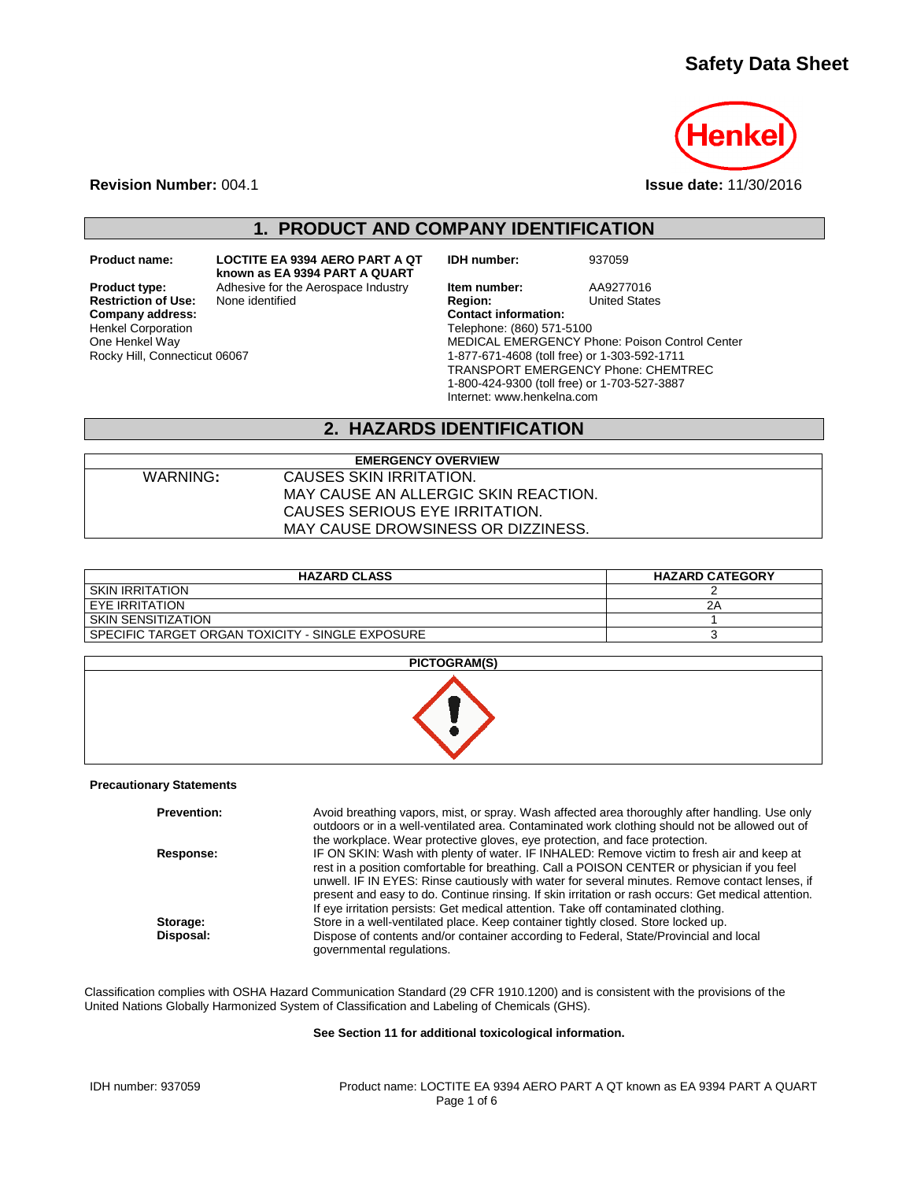## **Safety Data Sheet**



**Revision Number:** 004.1 **Issue date:** 11/30/2016

**1. PRODUCT AND COMPANY IDENTIFICATION**

**Restriction of Use:**<br>Company address: Henkel Corporation One Henkel Way Rocky Hill, Connecticut 06067

**Product name: LOCTITE EA 9394 AERO PART A QT known as EA 9394 PART A QUART**

**IDH number:** 937059

**Product type:** Adhesive for the Aerospace Industry **Item number:** AA9277016<br> **Restriction of Use:** None identified **Region:** Region: United States **Company address: Contact information:** Telephone: (860) 571-5100 MEDICAL EMERGENCY Phone: Poison Control Center 1-877-671-4608 (toll free) or 1-303-592-1711 TRANSPORT EMERGENCY Phone: CHEMTREC 1-800-424-9300 (toll free) or 1-703-527-3887 Internet: www.henkelna.com

#### **2. HAZARDS IDENTIFICATION**

| <b>EMERGENCY OVERVIEW</b> |                                      |  |
|---------------------------|--------------------------------------|--|
| WARNING:                  | CAUSES SKIN IRRITATION.              |  |
|                           | MAY CAUSE AN ALLERGIC SKIN REACTION. |  |
|                           | CAUSES SERIOUS EYE IRRITATION.       |  |
|                           | MAY CAUSE DROWSINESS OR DIZZINESS.   |  |

| <b>HAZARD CLASS</b>                                | <b>HAZARD CATEGORY</b> |
|----------------------------------------------------|------------------------|
| I SKIN IRRITATION                                  |                        |
| I EYE IRRITATION                                   | 2Α                     |
| I SKIN SENSITIZATION                               |                        |
| I SPECIFIC TARGET ORGAN TOXICITY - SINGLE EXPOSURE |                        |

| <b>PICTOGRAM(S)</b> |  |
|---------------------|--|
|                     |  |

#### **Precautionary Statements**

| <b>Prevention:</b> | Avoid breathing vapors, mist, or spray. Wash affected area thoroughly after handling. Use only<br>outdoors or in a well-ventilated area. Contaminated work clothing should not be allowed out of<br>the workplace. Wear protective gloves, eve protection, and face protection.                                                                                                                                                                                                         |
|--------------------|-----------------------------------------------------------------------------------------------------------------------------------------------------------------------------------------------------------------------------------------------------------------------------------------------------------------------------------------------------------------------------------------------------------------------------------------------------------------------------------------|
| Response:          | IF ON SKIN: Wash with plenty of water. IF INHALED: Remove victim to fresh air and keep at<br>rest in a position comfortable for breathing. Call a POISON CENTER or physician if you feel<br>unwell. IF IN EYES: Rinse cautiously with water for several minutes. Remove contact lenses, if<br>present and easy to do. Continue rinsing. If skin irritation or rash occurs: Get medical attention.<br>If eye irritation persists: Get medical attention. Take off contaminated clothing. |
| Storage:           | Store in a well-ventilated place. Keep container tightly closed. Store locked up.                                                                                                                                                                                                                                                                                                                                                                                                       |
| Disposal:          | Dispose of contents and/or container according to Federal, State/Provincial and local<br>governmental regulations.                                                                                                                                                                                                                                                                                                                                                                      |

Classification complies with OSHA Hazard Communication Standard (29 CFR 1910.1200) and is consistent with the provisions of the United Nations Globally Harmonized System of Classification and Labeling of Chemicals (GHS).

#### **See Section 11 for additional toxicological information.**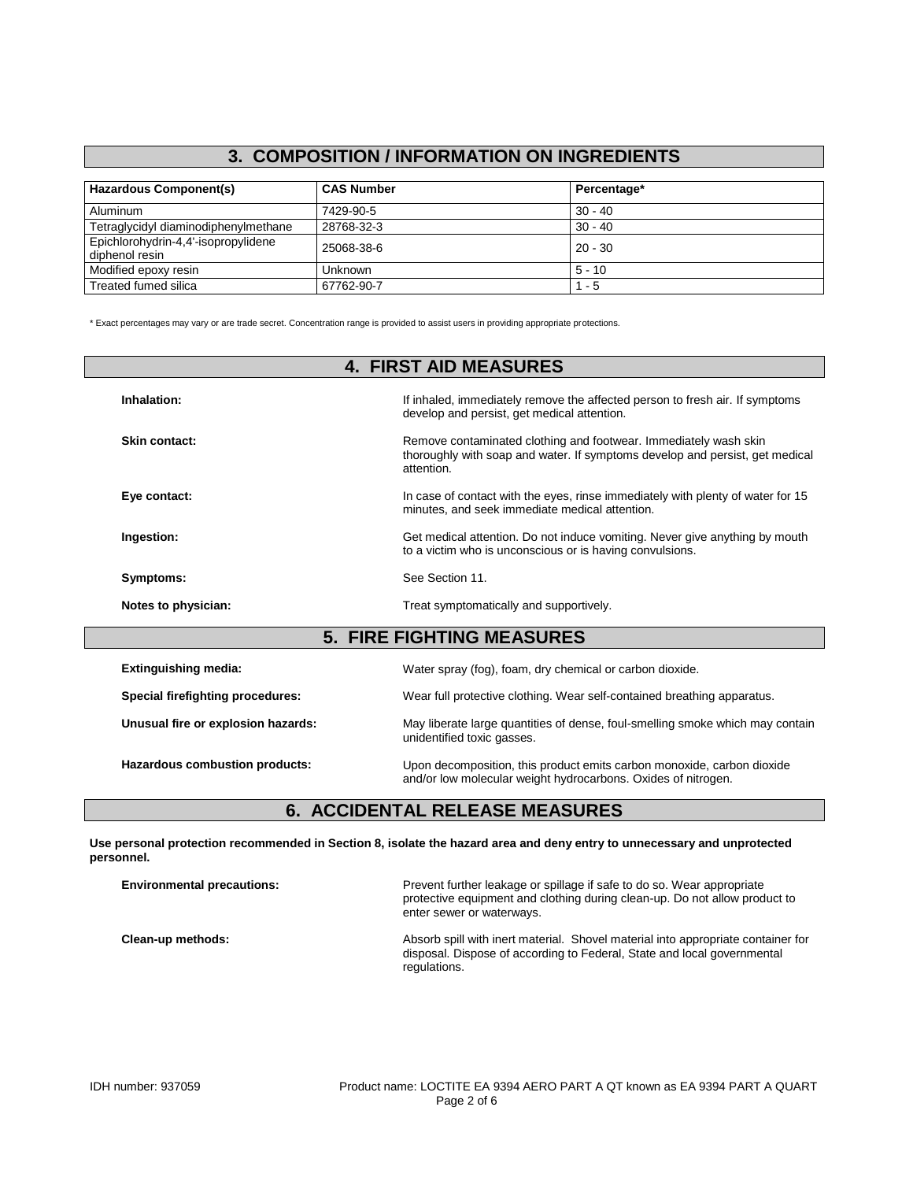#### **3. COMPOSITION / INFORMATION ON INGREDIENTS**

| <b>Hazardous Component(s)</b>                         | <b>CAS Number</b> | Percentage* |
|-------------------------------------------------------|-------------------|-------------|
| Aluminum                                              | 7429-90-5         | $30 - 40$   |
| Tetraglycidyl diaminodiphenylmethane                  | 28768-32-3        | $30 - 40$   |
| Epichlorohydrin-4,4'-isopropylidene<br>diphenol resin | 25068-38-6        | $20 - 30$   |
| Modified epoxy resin                                  | Unknown           | $5 - 10$    |
| Treated fumed silica                                  | 67762-90-7        | $1 - 5$     |

\* Exact percentages may vary or are trade secret. Concentration range is provided to assist users in providing appropriate protections.

| <b>4. FIRST AID MEASURES</b>       |                                                                                                                                                                |  |  |
|------------------------------------|----------------------------------------------------------------------------------------------------------------------------------------------------------------|--|--|
| Inhalation:                        | If inhaled, immediately remove the affected person to fresh air. If symptoms<br>develop and persist, get medical attention.                                    |  |  |
| Skin contact:                      | Remove contaminated clothing and footwear. Immediately wash skin<br>thoroughly with soap and water. If symptoms develop and persist, get medical<br>attention. |  |  |
| Eye contact:                       | In case of contact with the eyes, rinse immediately with plenty of water for 15<br>minutes, and seek immediate medical attention.                              |  |  |
| Ingestion:                         | Get medical attention. Do not induce vomiting. Never give anything by mouth<br>to a victim who is unconscious or is having convulsions.                        |  |  |
| Symptoms:                          | See Section 11.                                                                                                                                                |  |  |
| Notes to physician:                | Treat symptomatically and supportively.                                                                                                                        |  |  |
|                                    | <b>5. FIRE FIGHTING MEASURES</b>                                                                                                                               |  |  |
| <b>Extinguishing media:</b>        | Water spray (fog), foam, dry chemical or carbon dioxide.                                                                                                       |  |  |
| Special firefighting procedures:   | Wear full protective clothing. Wear self-contained breathing apparatus.                                                                                        |  |  |
| Unusual fire or explosion hazards: | May liberate large quantities of dense, foul-smelling smoke which may contain<br>unidentified toxic gasses.                                                    |  |  |
| Hazardous combustion products:     | Upon decomposition, this product emits carbon monoxide, carbon dioxide<br>and/or low molecular weight hydrocarbons. Oxides of nitrogen.                        |  |  |

## **6. ACCIDENTAL RELEASE MEASURES**

**Use personal protection recommended in Section 8, isolate the hazard area and deny entry to unnecessary and unprotected personnel.**

| <b>Environmental precautions:</b> | Prevent further leakage or spillage if safe to do so. Wear appropriate<br>protective equipment and clothing during clean-up. Do not allow product to<br>enter sewer or waterways. |
|-----------------------------------|-----------------------------------------------------------------------------------------------------------------------------------------------------------------------------------|
| Clean-up methods:                 | Absorb spill with inert material. Shovel material into appropriate container for<br>disposal. Dispose of according to Federal, State and local governmental<br>regulations.       |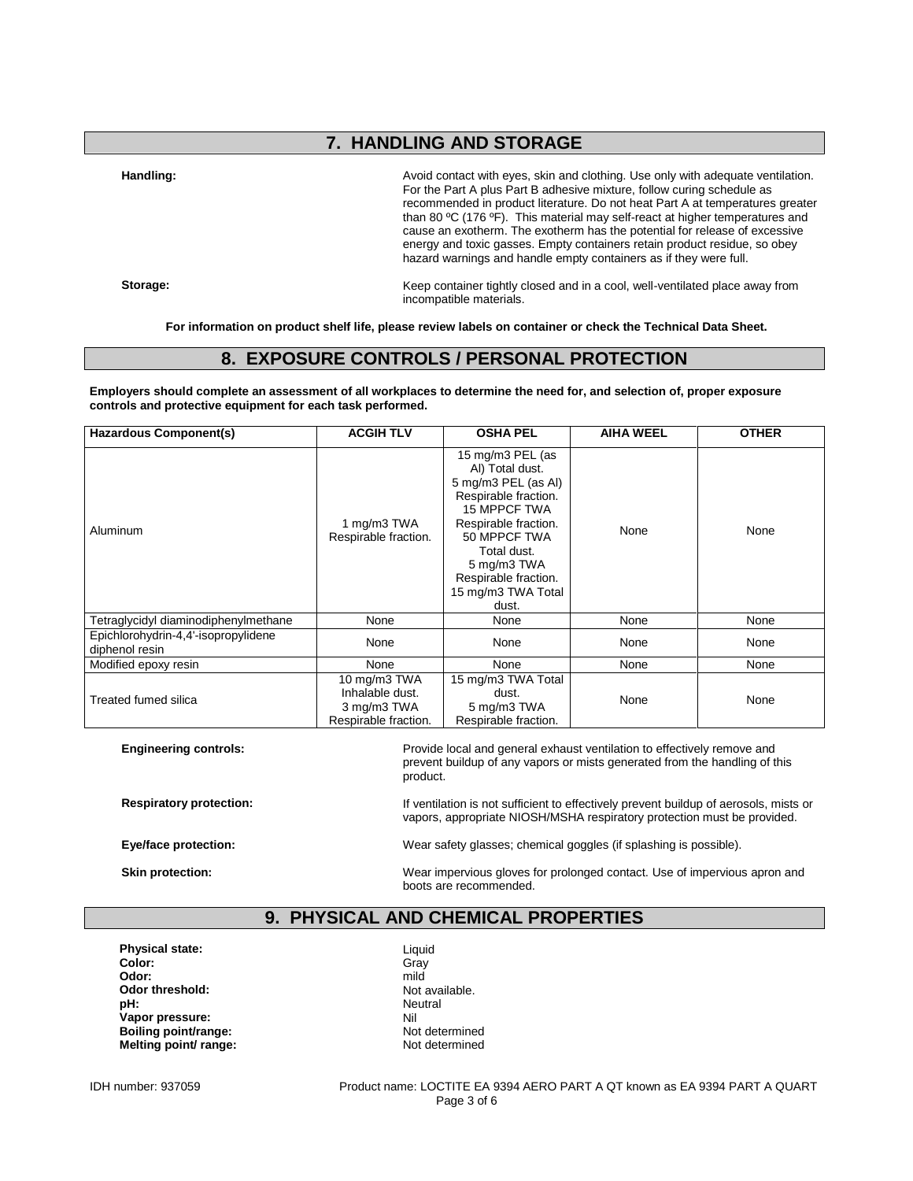## **7. HANDLING AND STORAGE**

Handling: **Handling: Avoid contact with eyes, skin and clothing.** Use only with adequate ventilation. For the Part A plus Part B adhesive mixture, follow curing schedule as recommended in product literature. Do not heat Part A at temperatures greater than 80 ºC (176 ºF). This material may self-react at higher temperatures and cause an exotherm. The exotherm has the potential for release of excessive energy and toxic gasses. Empty containers retain product residue, so obey hazard warnings and handle empty containers as if they were full.

**Storage:** Keep container tightly closed and in a cool, well-ventilated place away from incompatible materials.

**For information on product shelf life, please review labels on container or check the Technical Data Sheet.**

#### **8. EXPOSURE CONTROLS / PERSONAL PROTECTION**

**Employers should complete an assessment of all workplaces to determine the need for, and selection of, proper exposure controls and protective equipment for each task performed.**

| Hazardous Component(s)                                | <b>ACGIH TLV</b>                                                       | <b>OSHA PEL</b>                                                                                                                                                                                                                        | <b>AIHA WEEL</b> | <b>OTHER</b> |
|-------------------------------------------------------|------------------------------------------------------------------------|----------------------------------------------------------------------------------------------------------------------------------------------------------------------------------------------------------------------------------------|------------------|--------------|
| Aluminum                                              | 1 mg/m3 TWA<br>Respirable fraction.                                    | 15 mg/m3 PEL (as<br>AI) Total dust.<br>5 mg/m3 PEL (as Al)<br>Respirable fraction.<br><b>15 MPPCF TWA</b><br>Respirable fraction.<br>50 MPPCF TWA<br>Total dust.<br>5 mg/m3 TWA<br>Respirable fraction.<br>15 mg/m3 TWA Total<br>dust. | None             | None         |
| Tetraglycidyl diaminodiphenylmethane                  | None                                                                   | None                                                                                                                                                                                                                                   | None             | None         |
| Epichlorohydrin-4,4'-isopropylidene<br>diphenol resin | None                                                                   | None                                                                                                                                                                                                                                   | None             | None         |
| Modified epoxy resin                                  | None                                                                   | None                                                                                                                                                                                                                                   | None             | None         |
| Treated fumed silica                                  | 10 mg/m3 TWA<br>Inhalable dust.<br>3 mg/m3 TWA<br>Respirable fraction. | 15 mg/m3 TWA Total<br>dust.<br>5 mg/m3 TWA<br>Respirable fraction.                                                                                                                                                                     | None             | None         |

**Engineering controls:** Provide local and general exhaust ventilation to effectively remove and  $\blacksquare$ prevent buildup of any vapors or mists generated from the handling of this product.

**Respiratory protection:** If ventilation is not sufficient to effectively prevent buildup of aerosols, mists or vapors, appropriate NIOSH/MSHA respiratory protection must be provided.

**Eye/face protection:** Wear safety glasses; chemical goggles (if splashing is possible).

**Skin protection:** Wear impervious gloves for prolonged contact. Use of impervious apron and boots are recommended.

#### **9. PHYSICAL AND CHEMICAL PROPERTIES**

**Physical state:** Liquid<br> **Color:** Critical State: Critical State: Critical State: Critical State: Critical State: Critical State: Critical State: Critical State: Critical State: Critical State: Critical State: Critical St **Color:** Gray **Odor:** mild **Odor threshold:** Not available.<br> **pH:** Neutral **pH:** Neutral **Vapor pressure:** Nil **Boiling point/range:** Not determined<br> **Melting point/ range:** Not determined **Melting point/ range:** 

IDH number: 937059 Product name: LOCTITE EA 9394 AERO PART A QT known as EA 9394 PART A QUART Page 3 of 6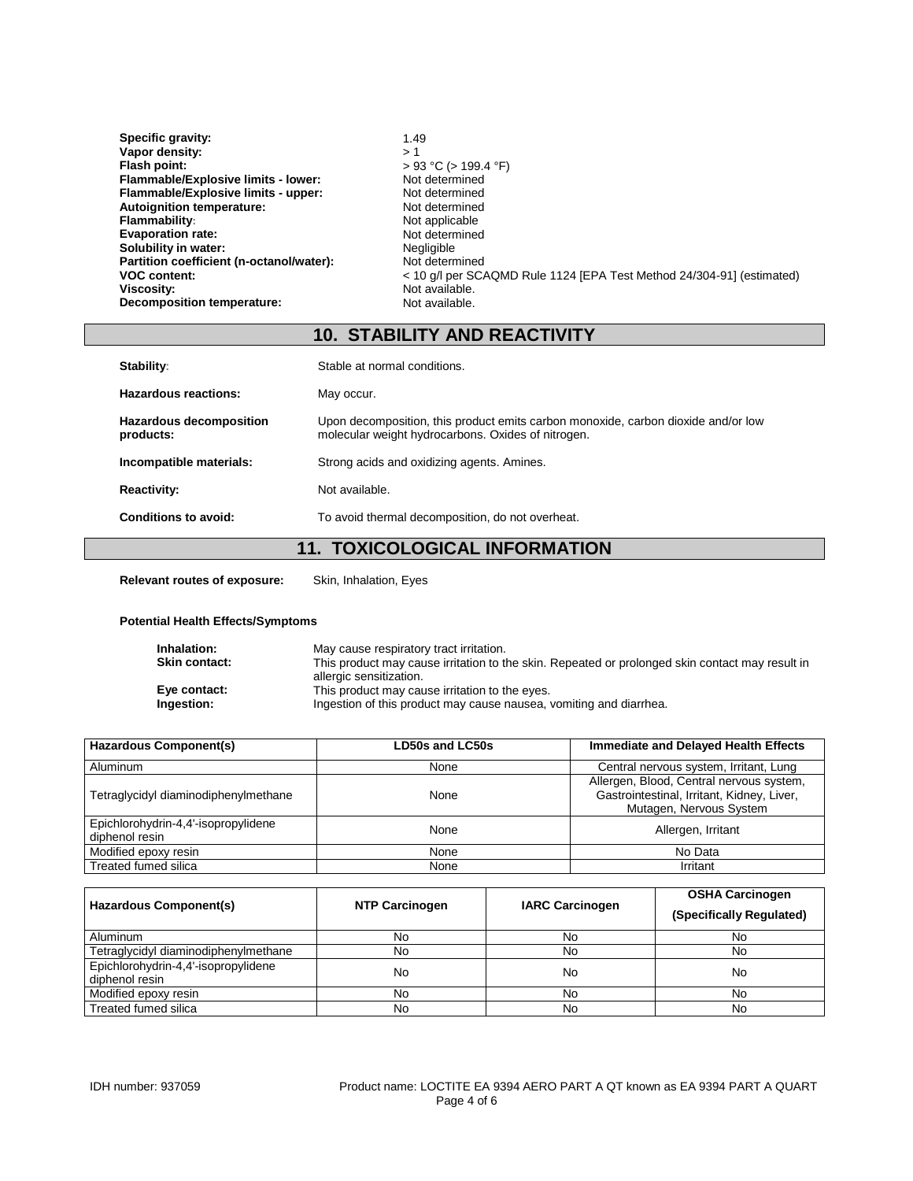| Specific gravity:                        | 1.49                                                                  |
|------------------------------------------|-----------------------------------------------------------------------|
| Vapor density:                           | > 1                                                                   |
| Flash point:                             | $> 93$ °C ( $> 199.4$ °F)                                             |
| Flammable/Explosive limits - lower:      | Not determined                                                        |
| Flammable/Explosive limits - upper:      | Not determined                                                        |
| <b>Autoignition temperature:</b>         | Not determined                                                        |
| <b>Flammability:</b>                     | Not applicable                                                        |
| <b>Evaporation rate:</b>                 | Not determined                                                        |
| Solubility in water:                     | Negligible                                                            |
| Partition coefficient (n-octanol/water): | Not determined                                                        |
| <b>VOC content:</b>                      | < 10 q/l per SCAQMD Rule 1124 [EPA Test Method 24/304-91] (estimated) |
| Viscosity:                               | Not available.                                                        |
| Decomposition temperature:               | Not available.                                                        |

## **10. STABILITY AND REACTIVITY**

| Stability:                                  | Stable at normal conditions.                                                                                                            |
|---------------------------------------------|-----------------------------------------------------------------------------------------------------------------------------------------|
| <b>Hazardous reactions:</b>                 | May occur.                                                                                                                              |
| <b>Hazardous decomposition</b><br>products: | Upon decomposition, this product emits carbon monoxide, carbon dioxide and/or low<br>molecular weight hydrocarbons. Oxides of nitrogen. |
| Incompatible materials:                     | Strong acids and oxidizing agents. Amines.                                                                                              |
| <b>Reactivity:</b>                          | Not available.                                                                                                                          |
| Conditions to avoid:                        | To avoid thermal decomposition, do not overheat.                                                                                        |
|                                             | TAVIAAL AAIA 41. INIFADNI 4 TIANI<br>$\overline{A}$                                                                                     |

#### **11. TOXICOLOGICAL INFORMATION**

**Relevant routes of exposure:** Skin, Inhalation, Eyes

#### **Potential Health Effects/Symptoms**

| Inhalation:<br><b>Skin contact:</b> | May cause respiratory tract irritation.<br>This product may cause irritation to the skin. Repeated or prolonged skin contact may result in<br>allergic sensitization. |
|-------------------------------------|-----------------------------------------------------------------------------------------------------------------------------------------------------------------------|
| Eye contact:                        | This product may cause irritation to the eyes.                                                                                                                        |
| Ingestion:                          | Ingestion of this product may cause nausea, vomiting and diarrhea.                                                                                                    |

| <b>Hazardous Component(s)</b>                         | LD50s and LC50s | Immediate and Delayed Health Effects                                                                              |
|-------------------------------------------------------|-----------------|-------------------------------------------------------------------------------------------------------------------|
| Aluminum                                              | None            | Central nervous system, Irritant, Lung                                                                            |
| Tetraglycidyl diaminodiphenylmethane                  | None            | Allergen, Blood, Central nervous system,<br>Gastrointestinal, Irritant, Kidney, Liver,<br>Mutagen, Nervous System |
| Epichlorohydrin-4,4'-isopropylidene<br>diphenol resin | None            | Allergen, Irritant                                                                                                |
| Modified epoxy resin                                  | None            | No Data                                                                                                           |
| Treated fumed silica                                  | None            | Irritant                                                                                                          |

| Hazardous Component(s)                                | <b>NTP Carcinogen</b> | <b>IARC Carcinogen</b> | <b>OSHA Carcinogen</b><br>(Specifically Regulated) |
|-------------------------------------------------------|-----------------------|------------------------|----------------------------------------------------|
| <b>Aluminum</b>                                       | No                    | No                     | No                                                 |
| Tetraglycidyl diaminodiphenylmethane                  | No                    | No                     | No                                                 |
| Epichlorohydrin-4,4'-isopropylidene<br>diphenol resin | No                    | No                     | No                                                 |
| Modified epoxy resin                                  | No                    | No                     | No                                                 |
| Treated fumed silica                                  | No                    | No                     | No                                                 |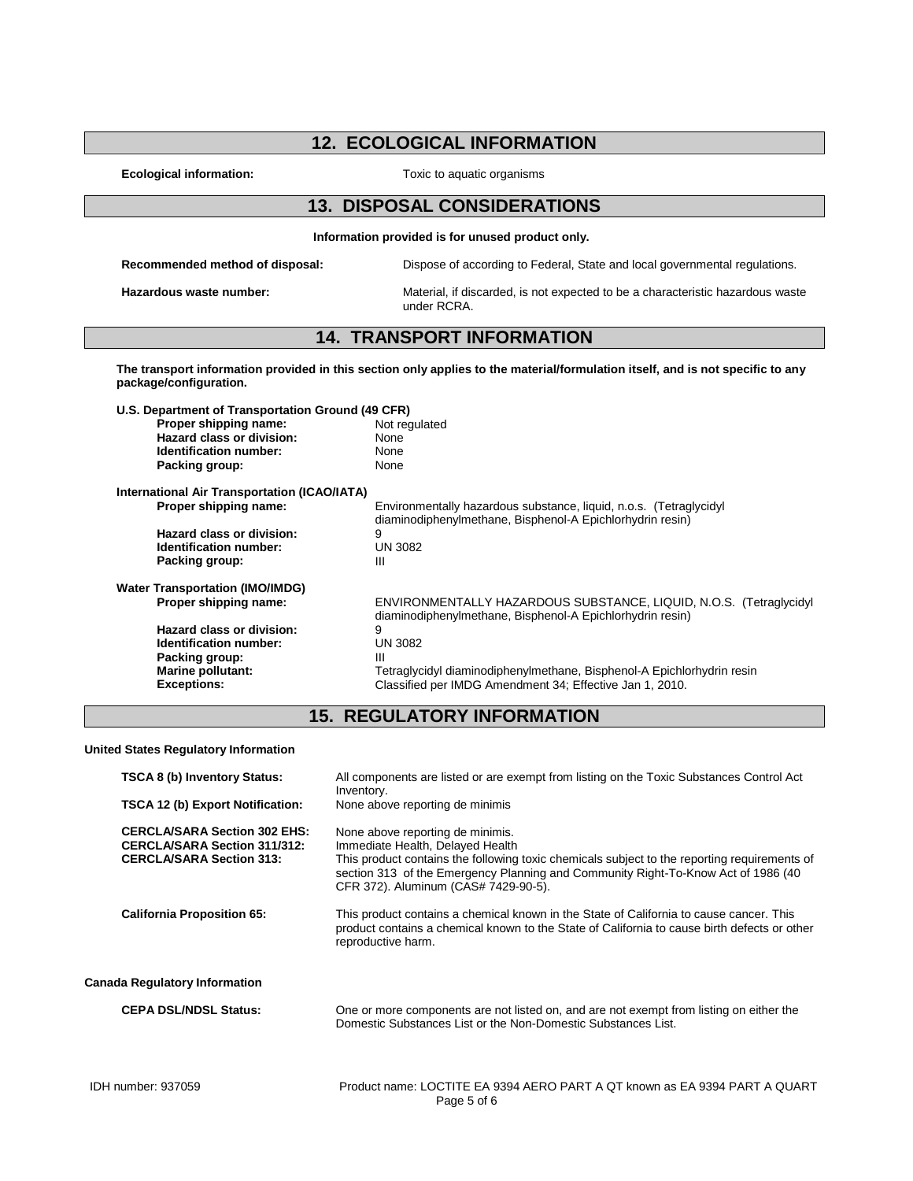#### **12. ECOLOGICAL INFORMATION**

**Ecological information:** Toxic to aquatic organisms

#### **13. DISPOSAL CONSIDERATIONS**

**Information provided is for unused product only.**

**Recommended method of disposal:** Dispose of according to Federal, State and local governmental regulations.

**Hazardous waste number:** Material, if discarded, is not expected to be a characteristic hazardous waste under RCRA.

#### **14. TRANSPORT INFORMATION**

**The transport information provided in this section only applies to the material/formulation itself, and is not specific to any package/configuration.**

**U.S. Department of Transportation Ground (49 CFR)**

| Not r |
|-------|
| None  |
| None  |
| None  |
|       |

**Not regulated**<br>None **None**<br>None

## **International Air Transportation (ICAO/IATA)**

**Hazard class or division:** 9<br>**Identification number:** UN 3082 **Identification number:** UN<br>Packing group: III **Packing group:** 

# **Water Transportation (IMO/IMDG)**

**Hazard class or division:** 9<br> **Identification number:** UN 3082 **Identification number:** UN<br>**Packing group:** III **Packing group:**<br>Marine pollutant:

**Proper shipping name:** ENVIRONMENTALLY HAZARDOUS SUBSTANCE, LIQUID, N.O.S. (Tetraglycidyl diaminodiphenylmethane, Bisphenol-A Epichlorhydrin resin)

**Proper shipping name:** Environmentally hazardous substance, liquid, n.o.s. (Tetraglycidyl diaminodiphenylmethane, Bisphenol-A Epichlorhydrin resin)

**Marine pollutant:** Tetraglycidyl diaminodiphenylmethane, Bisphenol-A Epichlorhydrin resin<br> **Exceptions:** Classified per IMDG Amendment 34; Effective Jan 1, 2010. **Exceptions:** Classified per IMDG Amendment 34; Effective Jan 1, 2010.

#### **15. REGULATORY INFORMATION**

**United States Regulatory Information**

| <b>TSCA 8 (b) Inventory Status:</b>                                                                           | All components are listed or are exempt from listing on the Toxic Substances Control Act<br>Inventory.                                                                                                                                                                                            |
|---------------------------------------------------------------------------------------------------------------|---------------------------------------------------------------------------------------------------------------------------------------------------------------------------------------------------------------------------------------------------------------------------------------------------|
| TSCA 12 (b) Export Notification:                                                                              | None above reporting de minimis                                                                                                                                                                                                                                                                   |
| <b>CERCLA/SARA Section 302 EHS:</b><br><b>CERCLA/SARA Section 311/312:</b><br><b>CERCLA/SARA Section 313:</b> | None above reporting de minimis.<br>Immediate Health, Delayed Health<br>This product contains the following toxic chemicals subject to the reporting requirements of<br>section 313 of the Emergency Planning and Community Right-To-Know Act of 1986 (40<br>CFR 372). Aluminum (CAS# 7429-90-5). |
| <b>California Proposition 65:</b>                                                                             | This product contains a chemical known in the State of California to cause cancer. This<br>product contains a chemical known to the State of California to cause birth defects or other<br>reproductive harm.                                                                                     |
| <b>Canada Regulatory Information</b>                                                                          |                                                                                                                                                                                                                                                                                                   |
| <b>CEPA DSL/NDSL Status:</b>                                                                                  | One or more components are not listed on, and are not exempt from listing on either the<br>Domestic Substances List or the Non-Domestic Substances List.                                                                                                                                          |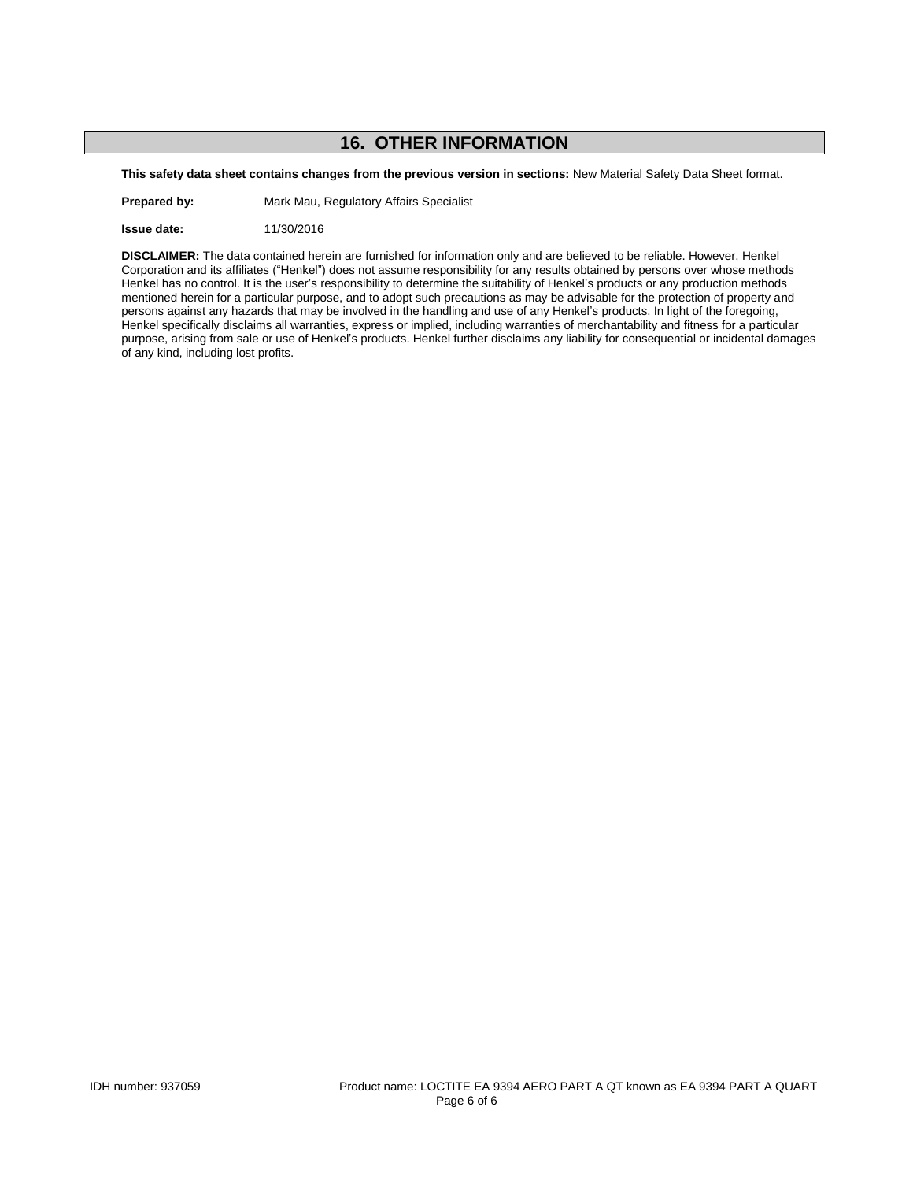## **16. OTHER INFORMATION**

**This safety data sheet contains changes from the previous version in sections:** New Material Safety Data Sheet format.

**Prepared by:** Mark Mau, Regulatory Affairs Specialist

**Issue date:** 11/30/2016

**DISCLAIMER:** The data contained herein are furnished for information only and are believed to be reliable. However, Henkel Corporation and its affiliates ("Henkel") does not assume responsibility for any results obtained by persons over whose methods Henkel has no control. It is the user's responsibility to determine the suitability of Henkel's products or any production methods mentioned herein for a particular purpose, and to adopt such precautions as may be advisable for the protection of property and persons against any hazards that may be involved in the handling and use of any Henkel's products. In light of the foregoing, Henkel specifically disclaims all warranties, express or implied, including warranties of merchantability and fitness for a particular purpose, arising from sale or use of Henkel's products. Henkel further disclaims any liability for consequential or incidental damages of any kind, including lost profits.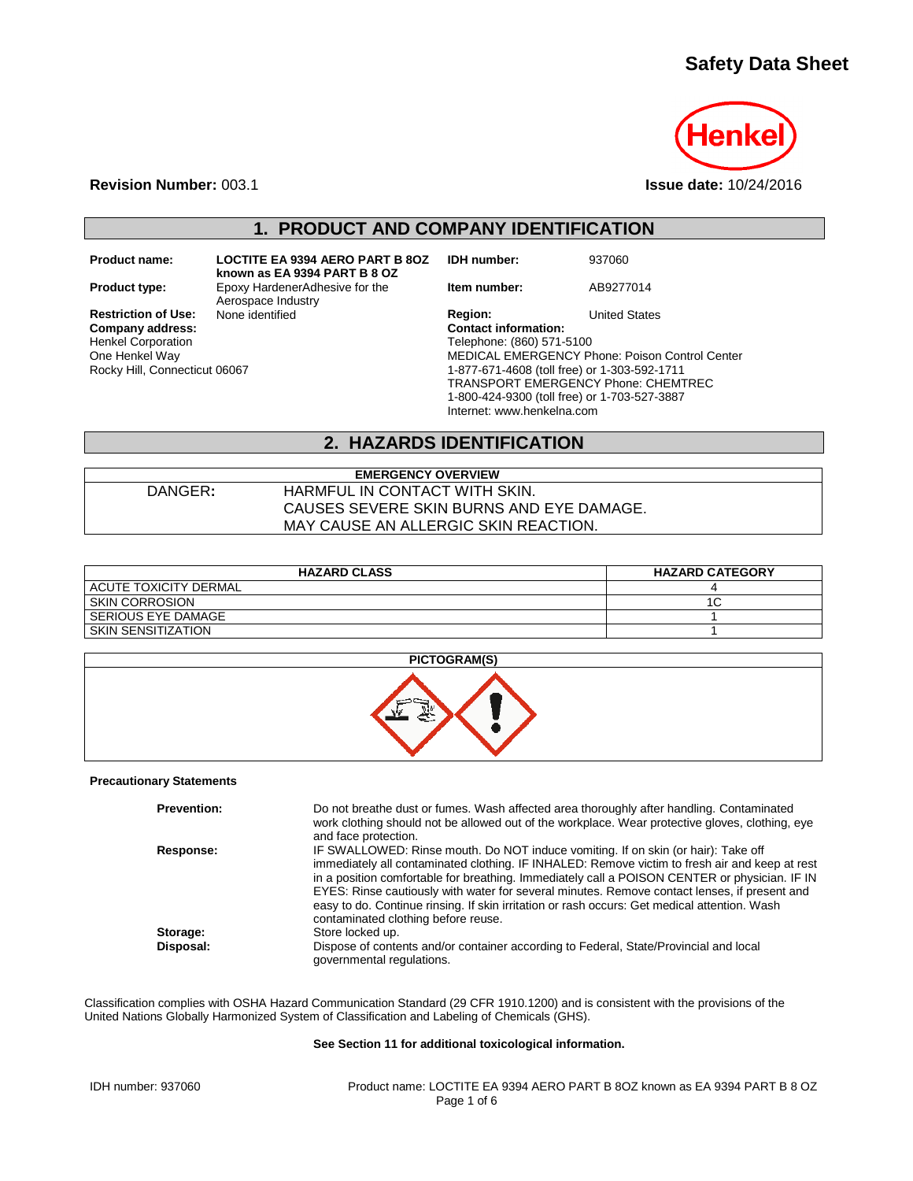## **Safety Data Sheet**



**Revision Number:** 003.1 **Issue date:** 10/24/2016

## **1. PRODUCT AND COMPANY IDENTIFICATION**

Henkel Corporation One Henkel Way Rocky Hill, Connecticut 06067

**Product name: LOCTITE EA 9394 AERO PART B 8OZ known as EA 9394 PART B 8 OZ Product type:** Epoxy HardenerAdhesive for the Aerospace Industry<br>None identified **Restriction of Use:** None identified **Region:** Region: United States Company address: Company address:

**IDH number:** 937060

**Item number:** AB9277014

**Company address: Contact information:** Telephone: (860) 571-5100 MEDICAL EMERGENCY Phone: Poison Control Center 1-877-671-4608 (toll free) or 1-303-592-1711 TRANSPORT EMERGENCY Phone: CHEMTREC 1-800-424-9300 (toll free) or 1-703-527-3887 Internet: www.henkelna.com

#### **2. HAZARDS IDENTIFICATION**

| <b>EMERGENCY OVERVIEW</b> |                                          |  |
|---------------------------|------------------------------------------|--|
| DANGER:                   | HARMFUL IN CONTACT WITH SKIN.            |  |
|                           | CAUSES SEVERE SKIN BURNS AND EYE DAMAGE. |  |
|                           | MAY CAUSE AN ALLERGIC SKIN REACTION.     |  |

| <b>HAZARD CLASS</b>     | <b>HAZARD CATEGORY</b> |
|-------------------------|------------------------|
| I ACUTE TOXICITY DERMAL |                        |
| <b>SKIN CORROSION</b>   | ◡                      |
| l SERIOUS EYE DAMAGE    |                        |
| SKIN SENSITIZATION      |                        |



#### **Precautionary Statements**

| <b>Prevention:</b> | Do not breathe dust or fumes. Wash affected area thoroughly after handling. Contaminated<br>work clothing should not be allowed out of the workplace. Wear protective gloves, clothing, eye<br>and face protection.                                                                                                                                                                                                                                                                                                         |
|--------------------|-----------------------------------------------------------------------------------------------------------------------------------------------------------------------------------------------------------------------------------------------------------------------------------------------------------------------------------------------------------------------------------------------------------------------------------------------------------------------------------------------------------------------------|
| Response:          | IF SWALLOWED: Rinse mouth. Do NOT induce vomiting. If on skin (or hair): Take off<br>immediately all contaminated clothing. IF INHALED: Remove victim to fresh air and keep at rest<br>in a position comfortable for breathing. Immediately call a POISON CENTER or physician. IF IN<br>EYES: Rinse cautiously with water for several minutes. Remove contact lenses, if present and<br>easy to do. Continue rinsing. If skin irritation or rash occurs: Get medical attention. Wash<br>contaminated clothing before reuse. |
| Storage:           | Store locked up.                                                                                                                                                                                                                                                                                                                                                                                                                                                                                                            |
| Disposal:          | Dispose of contents and/or container according to Federal, State/Provincial and local<br>governmental regulations.                                                                                                                                                                                                                                                                                                                                                                                                          |

Classification complies with OSHA Hazard Communication Standard (29 CFR 1910.1200) and is consistent with the provisions of the United Nations Globally Harmonized System of Classification and Labeling of Chemicals (GHS).

#### **See Section 11 for additional toxicological information.**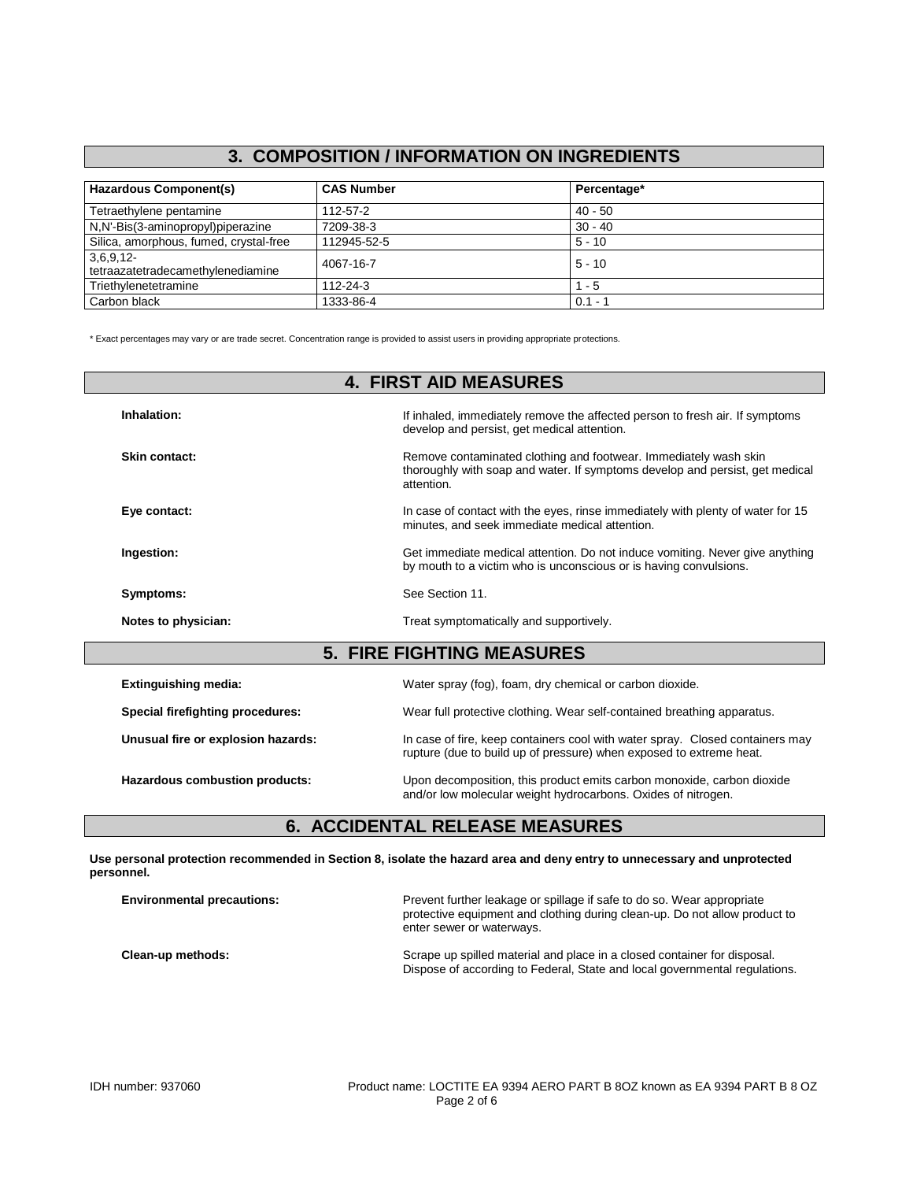#### **3. COMPOSITION / INFORMATION ON INGREDIENTS**

| <b>Hazardous Component(s)</b>                 | <b>CAS Number</b> | Percentage* |
|-----------------------------------------------|-------------------|-------------|
| Tetraethylene pentamine                       | 112-57-2          | $40 - 50$   |
| N,N'-Bis(3-aminopropyl)piperazine             | 7209-38-3         | $30 - 40$   |
| Silica, amorphous, fumed, crystal-free        | 112945-52-5       | $5 - 10$    |
| 3,6,9,12<br>tetraazatetradecamethylenediamine | 4067-16-7         | $5 - 10$    |
| Triethylenetetramine                          | 112-24-3          | $1 - 5$     |
| Carbon black                                  | 1333-86-4         | $0.1 - 1$   |

\* Exact percentages may vary or are trade secret. Concentration range is provided to assist users in providing appropriate protections.

| <b>4. FIRST AID MEASURES</b>       |                                                                                                                                                                |  |
|------------------------------------|----------------------------------------------------------------------------------------------------------------------------------------------------------------|--|
| Inhalation:                        | If inhaled, immediately remove the affected person to fresh air. If symptoms<br>develop and persist, get medical attention.                                    |  |
| Skin contact:                      | Remove contaminated clothing and footwear. Immediately wash skin<br>thoroughly with soap and water. If symptoms develop and persist, get medical<br>attention. |  |
| Eye contact:                       | In case of contact with the eyes, rinse immediately with plenty of water for 15<br>minutes, and seek immediate medical attention.                              |  |
| Ingestion:                         | Get immediate medical attention. Do not induce vomiting. Never give anything<br>by mouth to a victim who is unconscious or is having convulsions.              |  |
| Symptoms:                          | See Section 11.                                                                                                                                                |  |
| Notes to physician:                | Treat symptomatically and supportively.                                                                                                                        |  |
|                                    | <b>5. FIRE FIGHTING MEASURES</b>                                                                                                                               |  |
| <b>Extinguishing media:</b>        | Water spray (fog), foam, dry chemical or carbon dioxide.                                                                                                       |  |
| Special firefighting procedures:   | Wear full protective clothing. Wear self-contained breathing apparatus.                                                                                        |  |
| Unusual fire or explosion hazards: | In case of fire, keep containers cool with water spray. Closed containers may<br>rupture (due to build up of pressure) when exposed to extreme heat.           |  |
| Hazardous combustion products:     | Upon decomposition, this product emits carbon monoxide, carbon dioxide                                                                                         |  |

#### **6. ACCIDENTAL RELEASE MEASURES**

**Use personal protection recommended in Section 8, isolate the hazard area and deny entry to unnecessary and unprotected personnel.**

| <b>Environmental precautions:</b> | Prevent further leakage or spillage if safe to do so. Wear appropriate<br>protective equipment and clothing during clean-up. Do not allow product to<br>enter sewer or waterways. |
|-----------------------------------|-----------------------------------------------------------------------------------------------------------------------------------------------------------------------------------|
| Clean-up methods:                 | Scrape up spilled material and place in a closed container for disposal.<br>Dispose of according to Federal, State and local governmental regulations.                            |

and/or low molecular weight hydrocarbons. Oxides of nitrogen.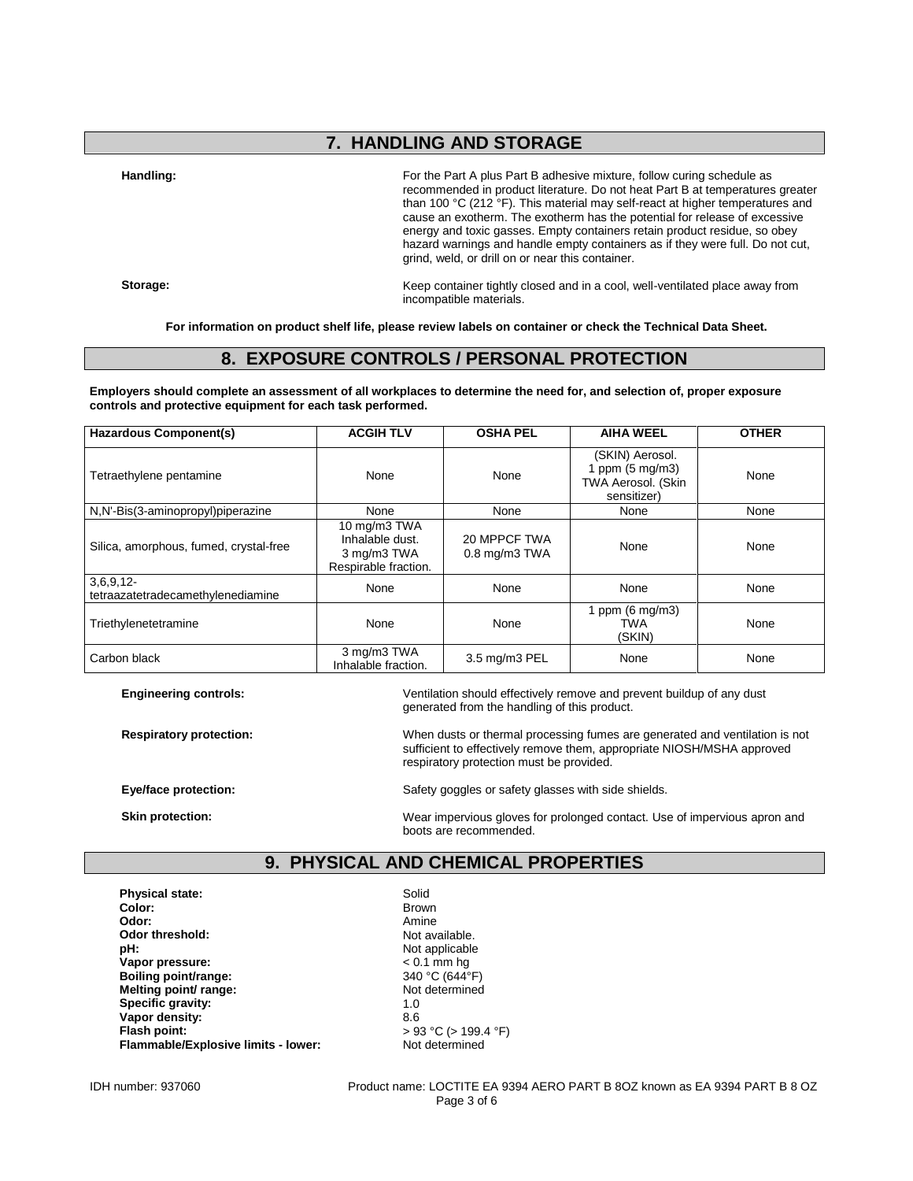## **7. HANDLING AND STORAGE**

**Handling:** For the Part A plus Part B adhesive mixture, follow curing schedule as recommended in product literature. Do not heat Part B at temperatures greater than 100 °C (212 °F). This material may self-react at higher temperatures and cause an exotherm. The exotherm has the potential for release of excessive energy and toxic gasses. Empty containers retain product residue, so obey hazard warnings and handle empty containers as if they were full. Do not cut, grind, weld, or drill on or near this container.

**Storage:** Keep container tightly closed and in a cool, well-ventilated place away from incompatible materials.

**For information on product shelf life, please review labels on container or check the Technical Data Sheet.**

#### **8. EXPOSURE CONTROLS / PERSONAL PROTECTION**

**Employers should complete an assessment of all workplaces to determine the need for, and selection of, proper exposure controls and protective equipment for each task performed.**

| <b>Hazardous Component(s)</b>                    | <b>ACGIH TLV</b>                                                       | <b>OSHA PEL</b>                    | <b>AIHA WEEL</b>                                                                  | <b>OTHER</b> |
|--------------------------------------------------|------------------------------------------------------------------------|------------------------------------|-----------------------------------------------------------------------------------|--------------|
| Tetraethylene pentamine                          | None                                                                   | None                               | (SKIN) Aerosol.<br>1 ppm $(5 \text{ mg/m3})$<br>TWA Aerosol. (Skin<br>sensitizer) | None         |
| N,N'-Bis(3-aminopropyl)piperazine                | None                                                                   | None                               | None                                                                              | None         |
| Silica, amorphous, fumed, crystal-free           | 10 mg/m3 TWA<br>Inhalable dust.<br>3 mg/m3 TWA<br>Respirable fraction. | 20 MPPCF TWA<br>$0.8$ mg/m $3$ TWA | None                                                                              | None         |
| $3,6,9,12-$<br>tetraazatetradecamethylenediamine | None                                                                   | None                               | None                                                                              | None         |
| Triethylenetetramine                             | None                                                                   | None                               | 1 ppm $(6 \text{ mg/m3})$<br><b>TWA</b><br>(SKIN)                                 | None         |
| Carbon black                                     | 3 mg/m3 TWA<br>Inhalable fraction.                                     | 3.5 mg/m3 PEL                      | None                                                                              | None         |

**Engineering controls:** Ventilation should effectively remove and prevent buildup of any dust generated from the handling of this product.

**Respiratory protection:** When dusts or thermal processing fumes are generated and ventilation is not sufficient to effectively remove them, appropriate NIOSH/MSHA approved respiratory protection must be provided.

**Eye/face protection:** Safety goggles or safety glasses with side shields.

**Skin protection:** Wear impervious gloves for prolonged contact. Use of impervious apron and boots are recommended.

#### **9. PHYSICAL AND CHEMICAL PROPERTIES**

**Physical state:** Solid Color: Solid Color: **Color:** Brown **Odor:** Amine **Odor threshold:** Not available.<br> **pH:** Not applicable **Vapor pressure:**  $\leq 0.1$  mm hg<br> **Boiling point/range:**  $\leq 340 °C (644 °F)$ **Boiling point/range:** 340 °C (644<sup>°</sup>F)<br> **Melting point/ range:** Not determined **Melting point/ range:** Not determined by Not determined the Not determined by Not determined by Not determined by Not determined by Not determined by Not determined by Not determined by Not determined by Not determined by **Specific gravity:** 1.0<br> **Vanor density:** 8.6 **Vapor density:**<br>Flash point: **Flammable/Explosive limits - lower:** Not determined

Not applicable<br>< 0.1 mm hg **Flash point:** > 93 °C (> 199.4 °F)

IDH number: 937060 Product name: LOCTITE EA 9394 AERO PART B 8OZ known as EA 9394 PART B 8 OZ Page 3 of 6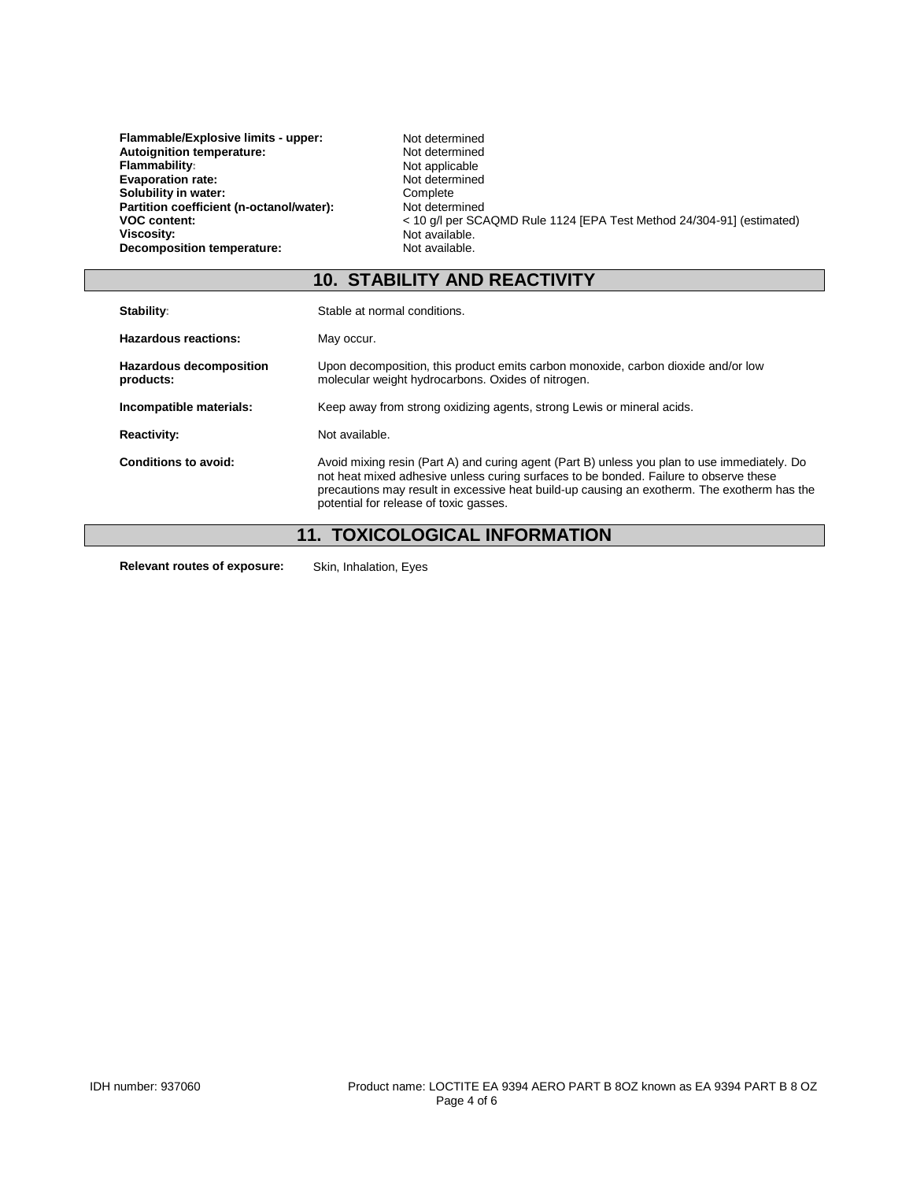| Flammable/Explosive limits - upper:      | Not determined                                                        |
|------------------------------------------|-----------------------------------------------------------------------|
| Autoignition temperature:                | Not determined                                                        |
| <b>Flammability:</b>                     | Not applicable                                                        |
| <b>Evaporation rate:</b>                 | Not determined                                                        |
| Solubility in water:                     | Complete                                                              |
| Partition coefficient (n-octanol/water): | Not determined                                                        |
| <b>VOC content:</b>                      | < 10 g/l per SCAQMD Rule 1124 [EPA Test Method 24/304-91] (estimated) |
| Viscosity:                               | Not available.                                                        |
| Decomposition temperature:               | Not available.                                                        |
|                                          |                                                                       |

## **10. STABILITY AND REACTIVITY**

| Stability:                                  | Stable at normal conditions.                                                                                                                                                                                                                                                                                                   |
|---------------------------------------------|--------------------------------------------------------------------------------------------------------------------------------------------------------------------------------------------------------------------------------------------------------------------------------------------------------------------------------|
| Hazardous reactions:                        | May occur.                                                                                                                                                                                                                                                                                                                     |
| <b>Hazardous decomposition</b><br>products: | Upon decomposition, this product emits carbon monoxide, carbon dioxide and/or low<br>molecular weight hydrocarbons. Oxides of nitrogen.                                                                                                                                                                                        |
| Incompatible materials:                     | Keep away from strong oxidizing agents, strong Lewis or mineral acids.                                                                                                                                                                                                                                                         |
| <b>Reactivity:</b>                          | Not available.                                                                                                                                                                                                                                                                                                                 |
| Conditions to avoid:                        | Avoid mixing resin (Part A) and curing agent (Part B) unless you plan to use immediately. Do<br>not heat mixed adhesive unless curing surfaces to be bonded. Failure to observe these<br>precautions may result in excessive heat build-up causing an exotherm. The exotherm has the<br>potential for release of toxic gasses. |
|                                             | <b>11. TOXICOLOGICAL INFORMATION</b>                                                                                                                                                                                                                                                                                           |

**Relevant routes of exposure:** Skin, Inhalation, Eyes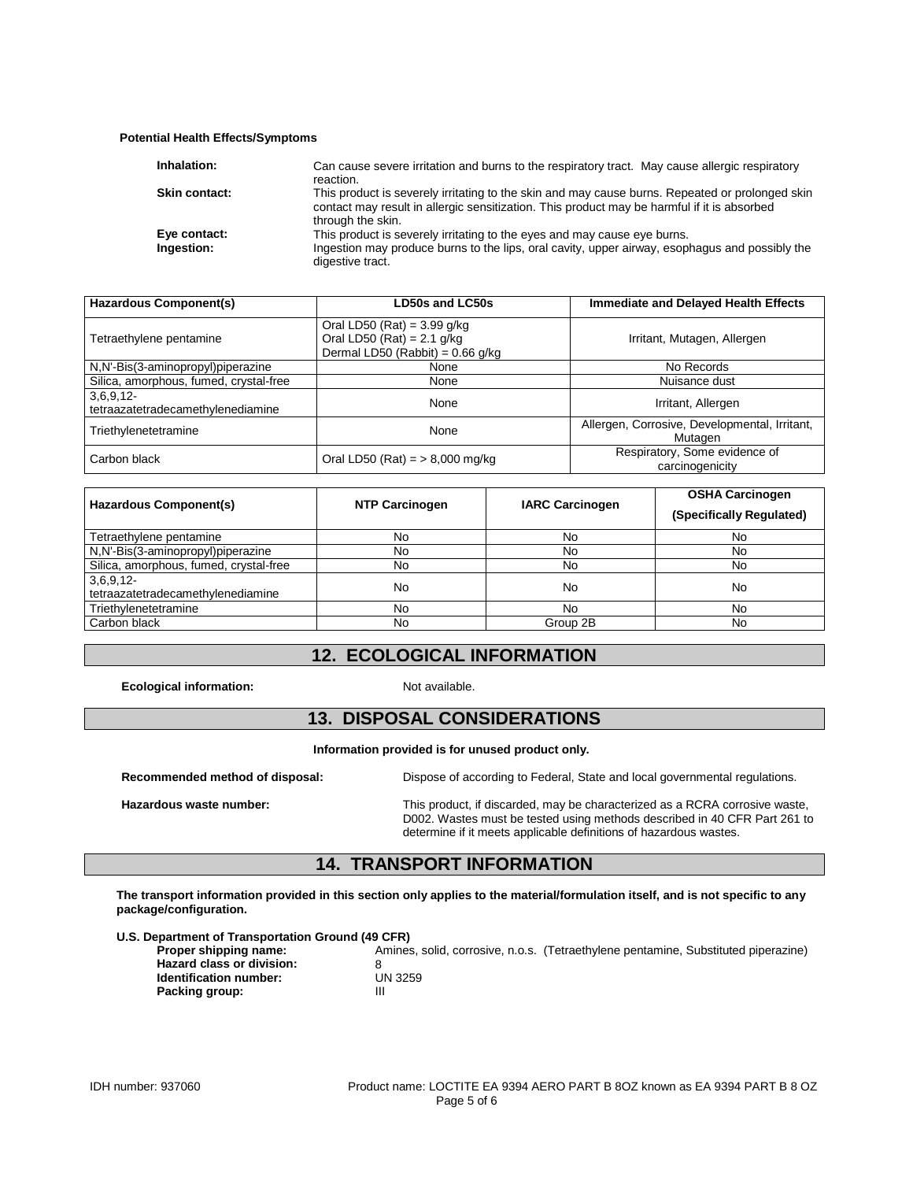#### **Potential Health Effects/Symptoms**

| Inhalation:                | Can cause severe irritation and burns to the respiratory tract. May cause allergic respiratory<br>reaction.                                                                                                         |
|----------------------------|---------------------------------------------------------------------------------------------------------------------------------------------------------------------------------------------------------------------|
| <b>Skin contact:</b>       | This product is severely irritating to the skin and may cause burns. Repeated or prolonged skin<br>contact may result in allergic sensitization. This product may be harmful if it is absorbed<br>through the skin. |
| Eye contact:<br>Ingestion: | This product is severely irritating to the eyes and may cause eye burns.<br>Ingestion may produce burns to the lips, oral cavity, upper airway, esophagus and possibly the<br>digestive tract.                      |

| Hazardous Component(s)                           | LD50s and LC50s                                                                                     | <b>Immediate and Delayed Health Effects</b>              |  |
|--------------------------------------------------|-----------------------------------------------------------------------------------------------------|----------------------------------------------------------|--|
| Tetraethylene pentamine                          | Oral LD50 (Rat) = $3.99$ g/kg<br>Oral LD50 (Rat) = $2.1$ g/kg<br>Dermal LD50 (Rabbit) = $0.66$ g/kg | Irritant, Mutagen, Allergen                              |  |
| N,N'-Bis(3-aminopropyl)piperazine                | None                                                                                                | No Records                                               |  |
| Silica, amorphous, fumed, crystal-free           | None                                                                                                | Nuisance dust                                            |  |
| $3,6,9,12-$<br>tetraazatetradecamethylenediamine | None                                                                                                | Irritant, Allergen                                       |  |
| Triethylenetetramine                             | None                                                                                                | Allergen, Corrosive, Developmental, Irritant,<br>Mutagen |  |
| Carbon black                                     | Oral LD50 (Rat) = $> 8,000$ mg/kg                                                                   | Respiratory, Some evidence of<br>carcinogenicity         |  |

| Hazardous Component(s)                 | <b>NTP Carcinogen</b> | <b>IARC Carcinogen</b> | <b>OSHA Carcinogen</b>   |
|----------------------------------------|-----------------------|------------------------|--------------------------|
|                                        |                       |                        | (Specifically Regulated) |
| Tetraethylene pentamine                | No                    | No                     | No                       |
| N,N'-Bis(3-aminopropyl)piperazine      | No                    | No                     | No                       |
| Silica, amorphous, fumed, crystal-free | No                    | No                     | No                       |
| $3,6,9,12-$                            | No                    | No                     | No                       |
| tetraazatetradecamethylenediamine      |                       |                        |                          |
| Triethylenetetramine                   | No                    | No                     | No                       |
| Carbon black                           | No.                   | Group 2B               | No.                      |

#### **12. ECOLOGICAL INFORMATION**

**Ecological information:** Not available.

## **13. DISPOSAL CONSIDERATIONS**

#### **Information provided is for unused product only.**

**Recommended method of disposal:** Dispose of according to Federal, State and local governmental regulations.

**Packing group:** 

**Hazardous waste number:** This product, if discarded, may be characterized as a RCRA corrosive waste, D002. Wastes must be tested using methods described in 40 CFR Part 261 to determine if it meets applicable definitions of hazardous wastes.

#### **14. TRANSPORT INFORMATION**

**The transport information provided in this section only applies to the material/formulation itself, and is not specific to any package/configuration.**

**Proper shipping name:** Amines, solid, corrosive, n.o.s. (Tetraethylene pentamine, Substituted piperazine)<br> **Hazard class or division:** 8 **Hazard class or division:** 8<br> **Identification number:** UN 3259 **Identification number:** UN<br>**Packing group:** III